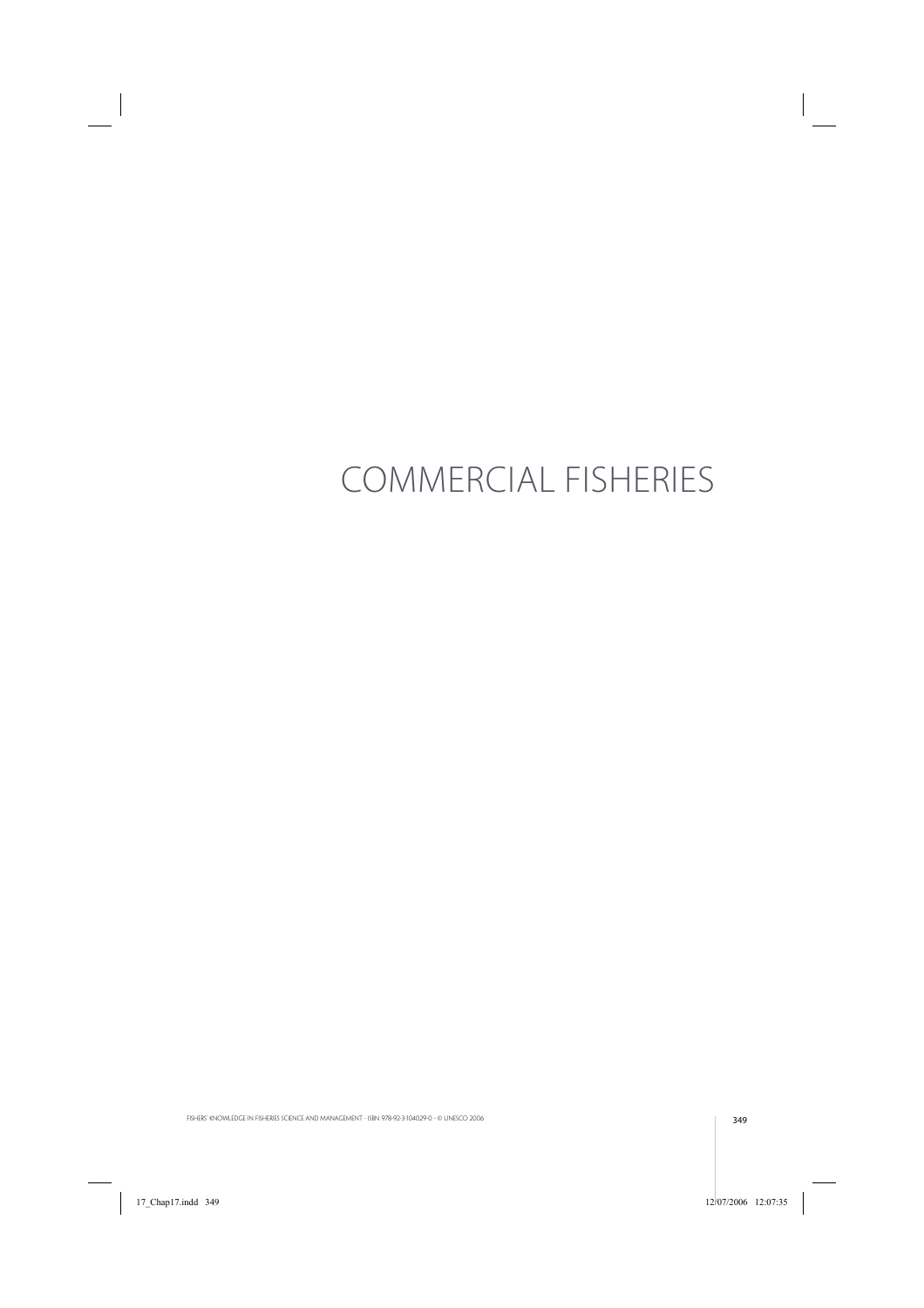Fishers' Knowledge in Fisheries Science and Management - ISBN 978-92-3-104029-0 - © UNESCO 2006

 $\sim$  349

 $17$ \_Chap17.indd 349  $12$ /07/2006 12:07:35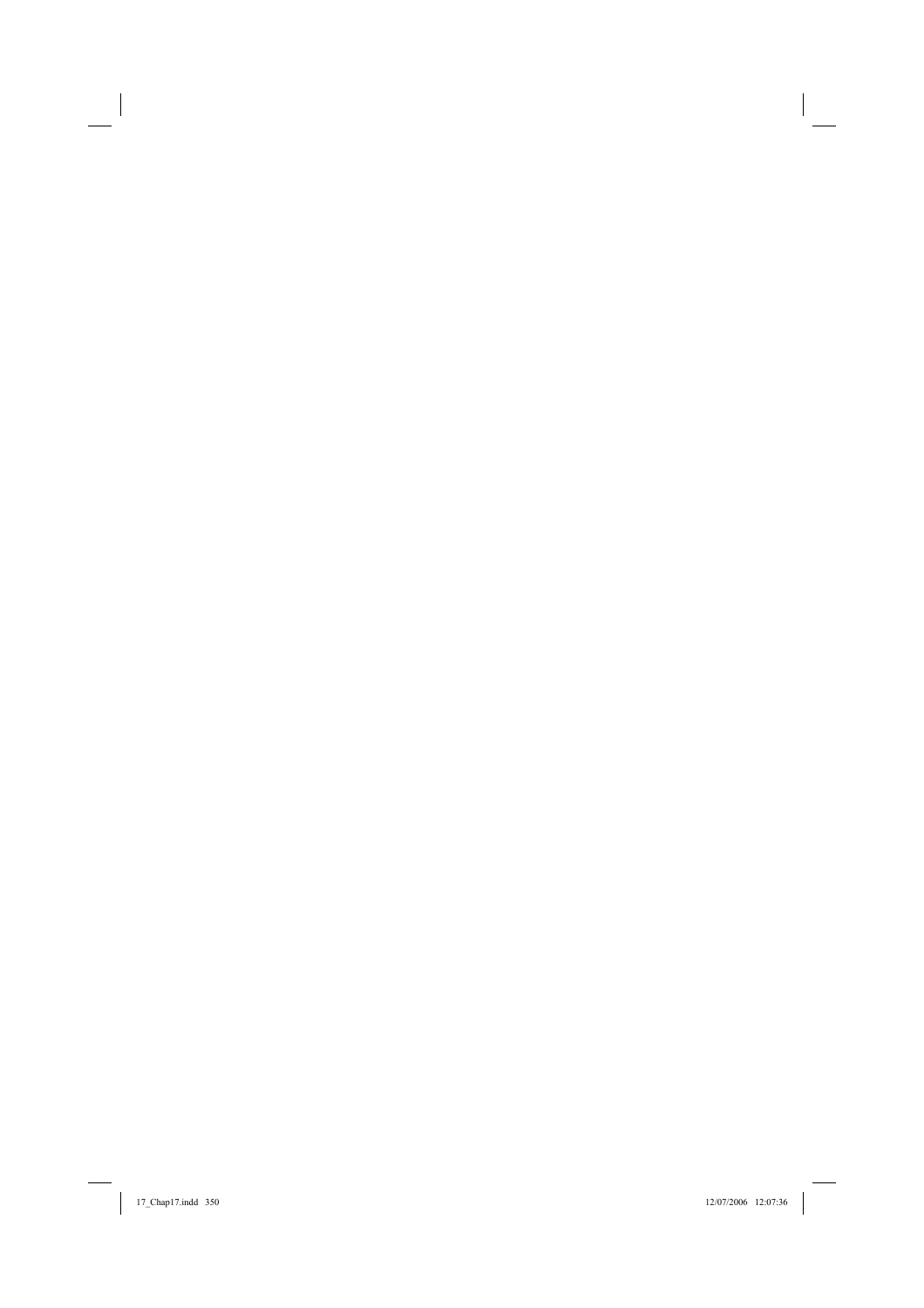$\overline{\phantom{a}}$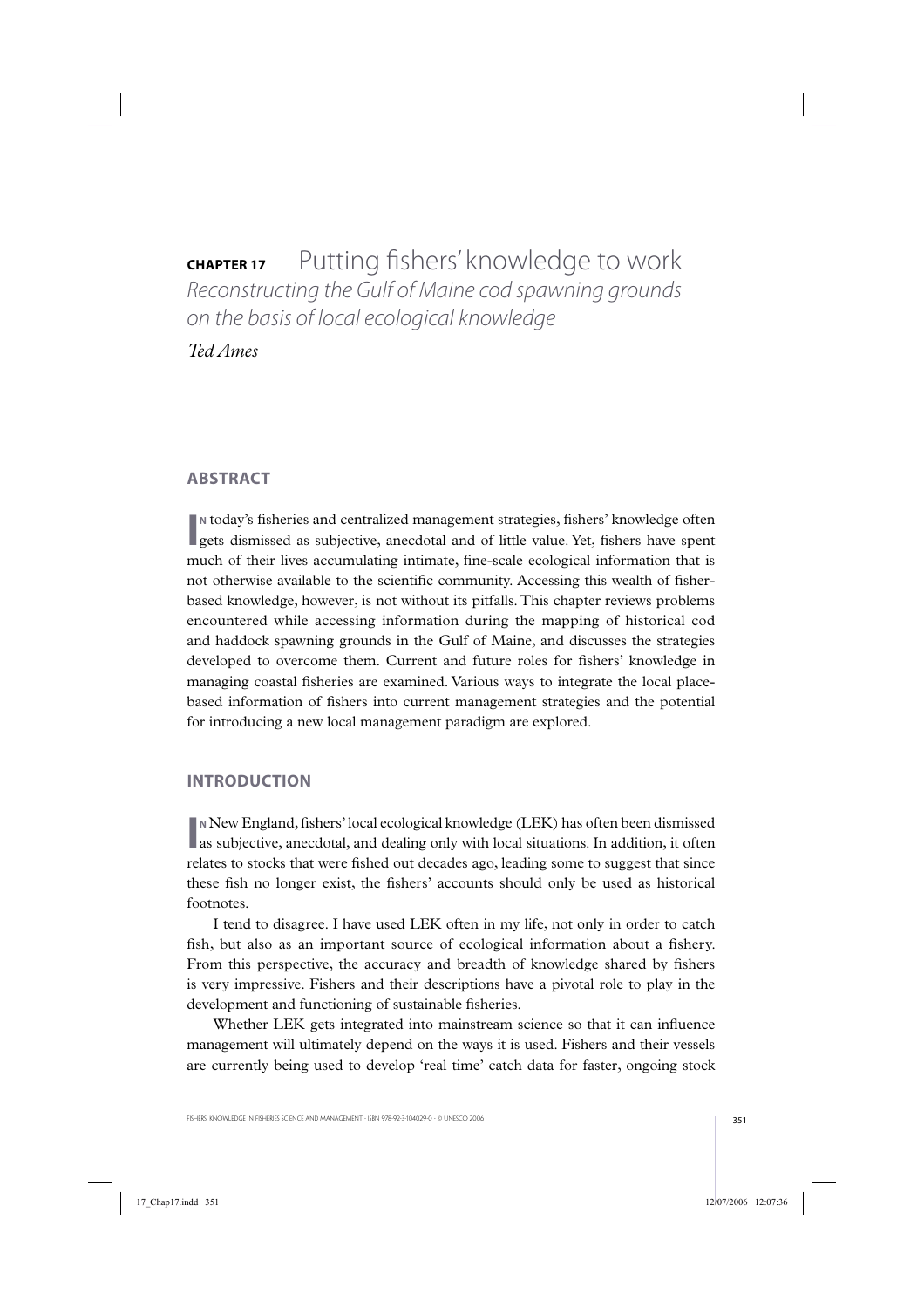## **CHAPTER 17** Putting fishers' knowledge to work Reconstructing the Gulf of Maine cod spawning grounds on the basis of local ecological knowledge

*Ted Ames*

## **ABSTRACT**

In today's fisheries and centralized management strategies, fishers' knowledge often gets dismissed as subjective, anecdotal and of little value. Yet, fishers have spent gets dismissed as subjective, anecdotal and of little value. Yet, fishers have spent much of their lives accumulating intimate, fine-scale ecological information that is not otherwise available to the scientific community. Accessing this wealth of fisherbased knowledge, however, is not without its pitfalls. This chapter reviews problems encountered while accessing information during the mapping of historical cod and haddock spawning grounds in the Gulf of Maine, and discusses the strategies developed to overcome them. Current and future roles for fishers' knowledge in managing coastal fisheries are examined. Various ways to integrate the local placebased information of fishers into current management strategies and the potential for introducing a new local management paradigm are explored.

## **INTRODUCTION**

IN New England, fishers' local ecological knowledge (LEK) has often been dismissed as subjective, anecdotal, and dealing only with local situations. In addition, it often **N** New England, fishers' local ecological knowledge (LEK) has often been dismissed relates to stocks that were fished out decades ago, leading some to suggest that since these fish no longer exist, the fishers' accounts should only be used as historical footnotes.

I tend to disagree. I have used LEK often in my life, not only in order to catch fish, but also as an important source of ecological information about a fishery. From this perspective, the accuracy and breadth of knowledge shared by fishers is very impressive. Fishers and their descriptions have a pivotal role to play in the development and functioning of sustainable fisheries.

Whether LEK gets integrated into mainstream science so that it can influence management will ultimately depend on the ways it is used. Fishers and their vessels are currently being used to develop 'real time' catch data for faster, ongoing stock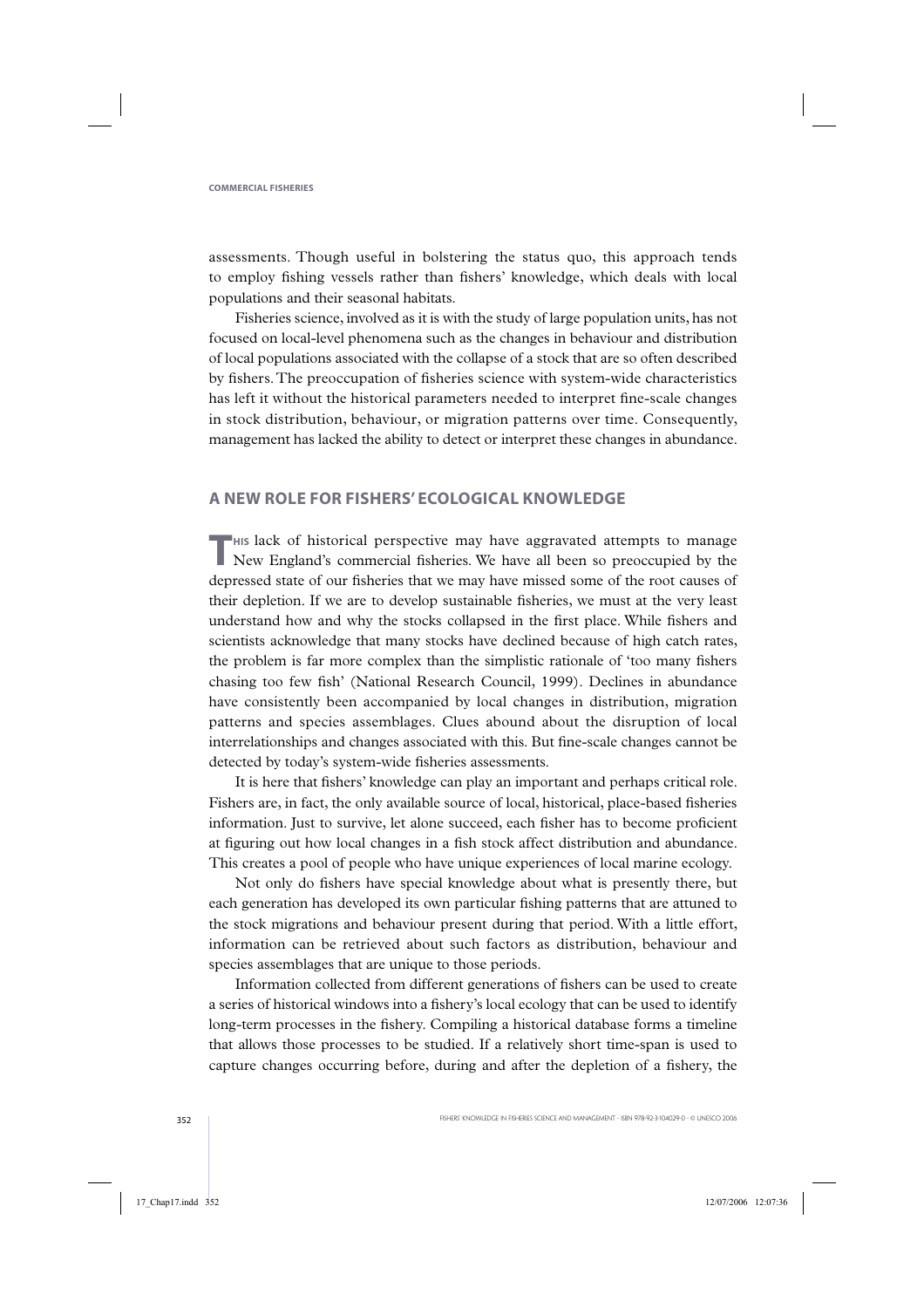assessments. Though useful in bolstering the status quo, this approach tends to employ fishing vessels rather than fishers' knowledge, which deals with local populations and their seasonal habitats.

Fisheries science, involved as it is with the study of large population units, has not focused on local-level phenomena such as the changes in behaviour and distribution of local populations associated with the collapse of a stock that are so often described by fishers. The preoccupation of fisheries science with system-wide characteristics has left it without the historical parameters needed to interpret fine-scale changes in stock distribution, behaviour, or migration patterns over time. Consequently, management has lacked the ability to detect or interpret these changes in abundance.

## **A NEW ROLE FOR FISHERS' ECOLOGICAL KNOWLEDGE**

THIS lack of historical perspective may have aggravated attempts to manage New England's commercial fisheries. We have all been so preoccupied by the depressed state of our fisheries that we may have missed some of the root causes of their depletion. If we are to develop sustainable fisheries, we must at the very least understand how and why the stocks collapsed in the first place. While fishers and scientists acknowledge that many stocks have declined because of high catch rates, the problem is far more complex than the simplistic rationale of 'too many fishers' chasing too few fish' (National Research Council, 1999). Declines in abundance have consistently been accompanied by local changes in distribution, migration patterns and species assemblages. Clues abound about the disruption of local interrelationships and changes associated with this. But fine-scale changes cannot be detected by today's system-wide fisheries assessments.

It is here that fishers' knowledge can play an important and perhaps critical role. Fishers are, in fact, the only available source of local, historical, place-based fisheries information. Just to survive, let alone succeed, each fisher has to become proficient at figuring out how local changes in a fish stock affect distribution and abundance. This creates a pool of people who have unique experiences of local marine ecology.

Not only do fishers have special knowledge about what is presently there, but each generation has developed its own particular fishing patterns that are attuned to the stock migrations and behaviour present during that period. With a little effort, information can be retrieved about such factors as distribution, behaviour and species assemblages that are unique to those periods.

Information collected from different generations of fishers can be used to create a series of historical windows into a fishery's local ecology that can be used to identify long-term processes in the fishery. Compiling a historical database forms a timeline that allows those processes to be studied. If a relatively short time-span is used to capture changes occurring before, during and after the depletion of a fishery, the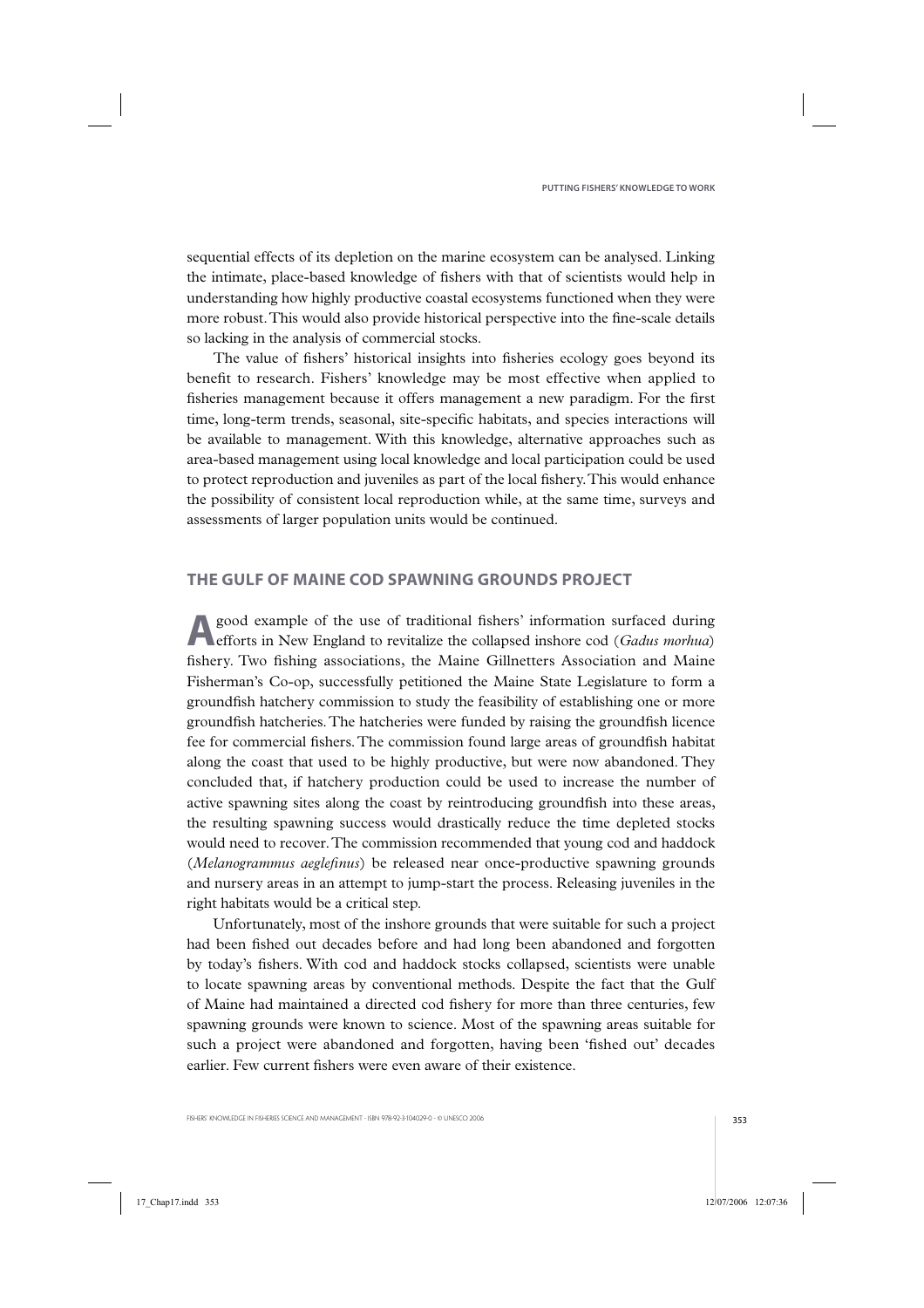**PUTTING FISHERS' KNOWLEDGE TO WORK**

sequential effects of its depletion on the marine ecosystem can be analysed. Linking the intimate, place-based knowledge of fishers with that of scientists would help in understanding how highly productive coastal ecosystems functioned when they were more robust. This would also provide historical perspective into the fine-scale details so lacking in the analysis of commercial stocks.

The value of fishers' historical insights into fisheries ecology goes beyond its benefit to research. Fishers' knowledge may be most effective when applied to fisheries management because it offers management a new paradigm. For the first time, long-term trends, seasonal, site-specific habitats, and species interactions will be available to management. With this knowledge, alternative approaches such as area-based management using local knowledge and local participation could be used to protect reproduction and juveniles as part of the local fishery. This would enhance the possibility of consistent local reproduction while, at the same time, surveys and assessments of larger population units would be continued.

## **THE GULF OF MAINE COD SPAWNING GROUNDS PROJECT**

good example of the use of traditional fishers' information surfaced during efforts in New England to revitalize the collapsed inshore cod (*Gadus morhua*) fishery. Two fishing associations, the Maine Gillnetters Association and Maine Fisherman's Co-op, successfully petitioned the Maine State Legislature to form a groundfish hatchery commission to study the feasibility of establishing one or more groundfish hatcheries. The hatcheries were funded by raising the groundfish licence fee for commercial fishers. The commission found large areas of groundfish habitat along the coast that used to be highly productive, but were now abandoned. They concluded that, if hatchery production could be used to increase the number of active spawning sites along the coast by reintroducing groundfish into these areas, the resulting spawning success would drastically reduce the time depleted stocks would need to recover. The commission recommended that young cod and haddock (*Melanogrammus aeglefinus*) be released near once-productive spawning grounds and nursery areas in an attempt to jump-start the process. Releasing juveniles in the right habitats would be a critical step.

Unfortunately, most of the inshore grounds that were suitable for such a project had been fished out decades before and had long been abandoned and forgotten by today's fishers. With cod and haddock stocks collapsed, scientists were unable to locate spawning areas by conventional methods. Despite the fact that the Gulf of Maine had maintained a directed cod fishery for more than three centuries, few spawning grounds were known to science. Most of the spawning areas suitable for such a project were abandoned and forgotten, having been 'fished out' decades earlier. Few current fishers were even aware of their existence.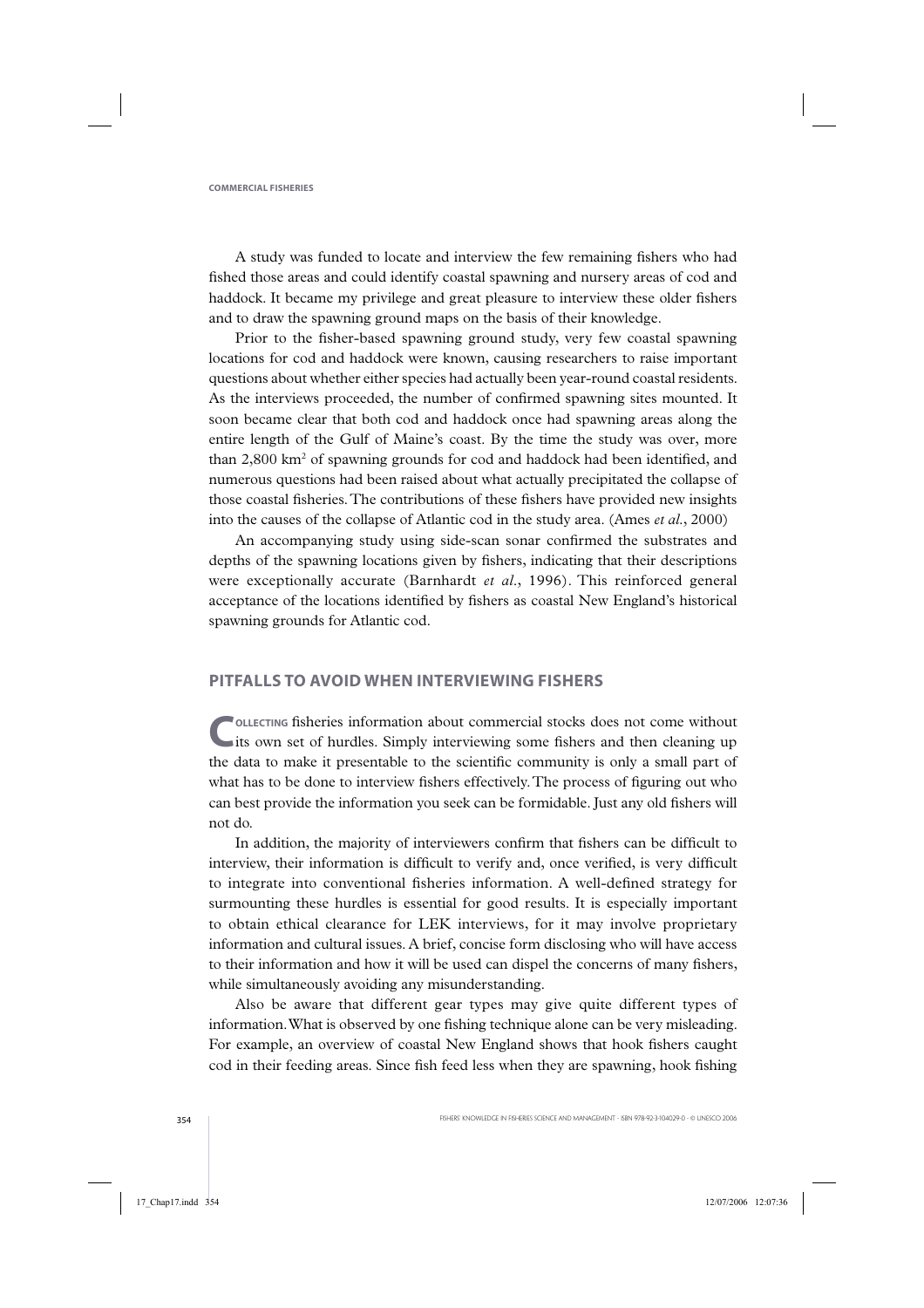A study was funded to locate and interview the few remaining fishers who had fished those areas and could identify coastal spawning and nursery areas of cod and haddock. It became my privilege and great pleasure to interview these older fishers and to draw the spawning ground maps on the basis of their knowledge.

Prior to the fisher-based spawning ground study, very few coastal spawning locations for cod and haddock were known, causing researchers to raise important questions about whether either species had actually been year-round coastal residents. As the interviews proceeded, the number of confirmed spawning sites mounted. It soon became clear that both cod and haddock once had spawning areas along the entire length of the Gulf of Maine's coast. By the time the study was over, more than 2,800 km<sup>2</sup> of spawning grounds for cod and haddock had been identified, and numerous questions had been raised about what actually precipitated the collapse of those coastal fisheries. The contributions of these fishers have provided new insights into the causes of the collapse of Atlantic cod in the study area. (Ames *et al*., 2000)

An accompanying study using side-scan sonar confirmed the substrates and depths of the spawning locations given by fishers, indicating that their descriptions were exceptionally accurate (Barnhardt *et al*., 1996). This reinforced general acceptance of the locations identified by fishers as coastal New England's historical spawning grounds for Atlantic cod.

## **PITFALLS TO AVOID WHEN INTERVIEWING FISHERS**

**COLLECTING** fisheries information about commercial stocks does not come without its own set of hurdles. Simply interviewing some fishers and then cleaning up the data to make it presentable to the scientific community is only a small part of what has to be done to interview fishers effectively. The process of figuring out who can best provide the information you seek can be formidable. Just any old fishers will not do.

In addition, the majority of interviewers confirm that fishers can be difficult to interview, their information is difficult to verify and, once verified, is very difficult to integrate into conventional fisheries information. A well-defined strategy for surmounting these hurdles is essential for good results. It is especially important to obtain ethical clearance for LEK interviews, for it may involve proprietary information and cultural issues. A brief, concise form disclosing who will have access to their information and how it will be used can dispel the concerns of many fishers, while simultaneously avoiding any misunderstanding.

Also be aware that different gear types may give quite different types of information. What is observed by one fishing technique alone can be very misleading. For example, an overview of coastal New England shows that hook fishers caught cod in their feeding areas. Since fish feed less when they are spawning, hook fishing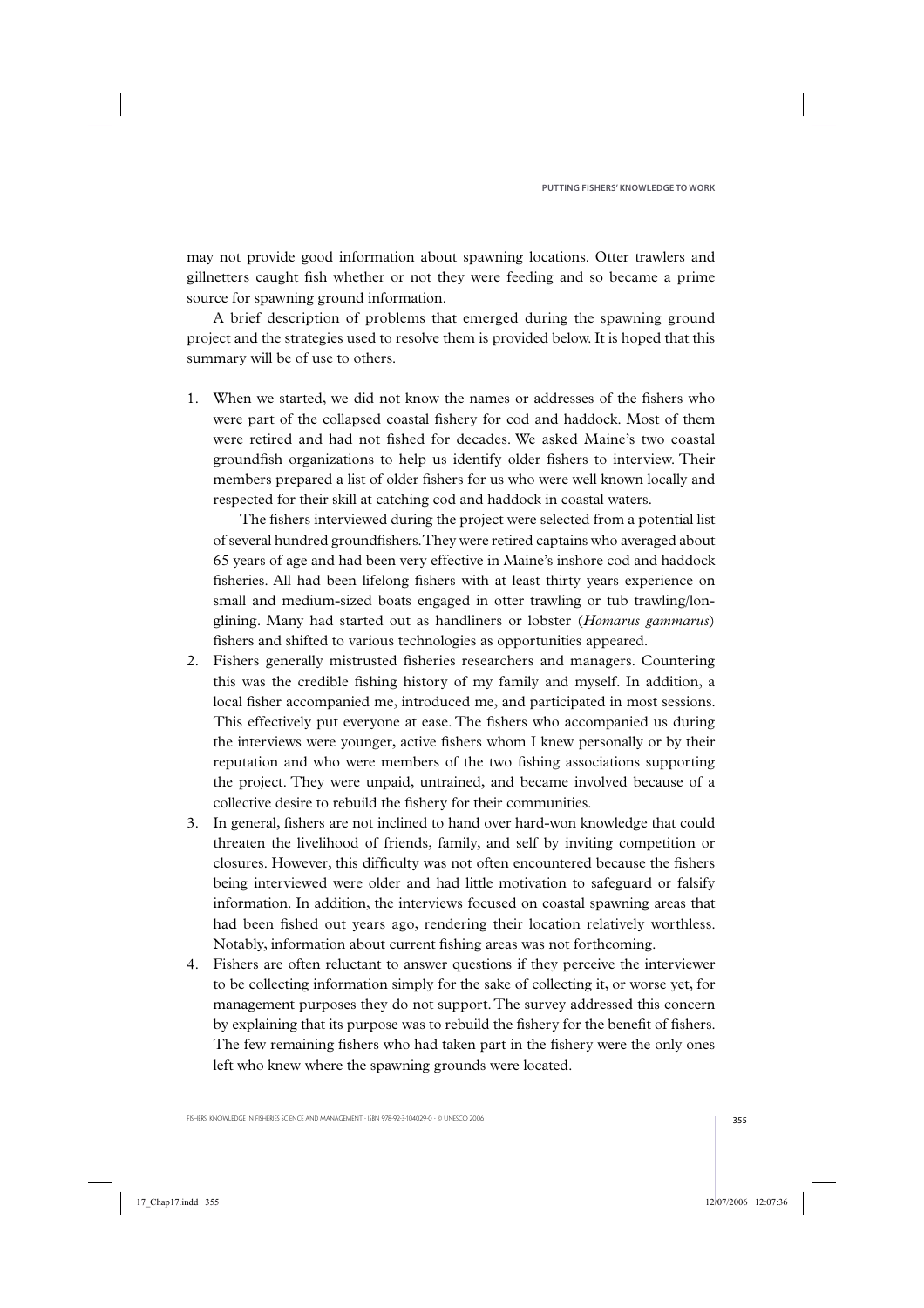may not provide good information about spawning locations. Otter trawlers and gillnetters caught fish whether or not they were feeding and so became a prime source for spawning ground information.

A brief description of problems that emerged during the spawning ground project and the strategies used to resolve them is provided below. It is hoped that this summary will be of use to others.

1. When we started, we did not know the names or addresses of the fishers who were part of the collapsed coastal fishery for cod and haddock. Most of them were retired and had not fished for decades. We asked Maine's two coastal groundfish organizations to help us identify older fishers to interview. Their members prepared a list of older fishers for us who were well known locally and respected for their skill at catching cod and haddock in coastal waters.

The fishers interviewed during the project were selected from a potential list of several hundred groundfishers. They were retired captains who averaged about 65 years of age and had been very effective in Maine's inshore cod and haddock fisheries. All had been lifelong fishers with at least thirty years experience on small and medium-sized boats engaged in otter trawling or tub trawling/longlining. Many had started out as handliners or lobster (*Homarus gammarus*) fishers and shifted to various technologies as opportunities appeared.

- 2. Fishers generally mistrusted fisheries researchers and managers. Countering this was the credible fishing history of my family and myself. In addition, a local fisher accompanied me, introduced me, and participated in most sessions. This effectively put everyone at ease. The fishers who accompanied us during the interviews were younger, active fishers whom I knew personally or by their reputation and who were members of the two fishing associations supporting the project. They were unpaid, untrained, and became involved because of a collective desire to rebuild the fishery for their communities.
- 3. In general, fishers are not inclined to hand over hard-won knowledge that could threaten the livelihood of friends, family, and self by inviting competition or closures. However, this difficulty was not often encountered because the fishers being interviewed were older and had little motivation to safeguard or falsify information. In addition, the interviews focused on coastal spawning areas that had been fished out years ago, rendering their location relatively worthless. Notably, information about current fishing areas was not forthcoming.
- 4. Fishers are often reluctant to answer questions if they perceive the interviewer to be collecting information simply for the sake of collecting it, or worse yet, for management purposes they do not support. The survey addressed this concern by explaining that its purpose was to rebuild the fishery for the benefit of fishers. The few remaining fishers who had taken part in the fishery were the only ones left who knew where the spawning grounds were located.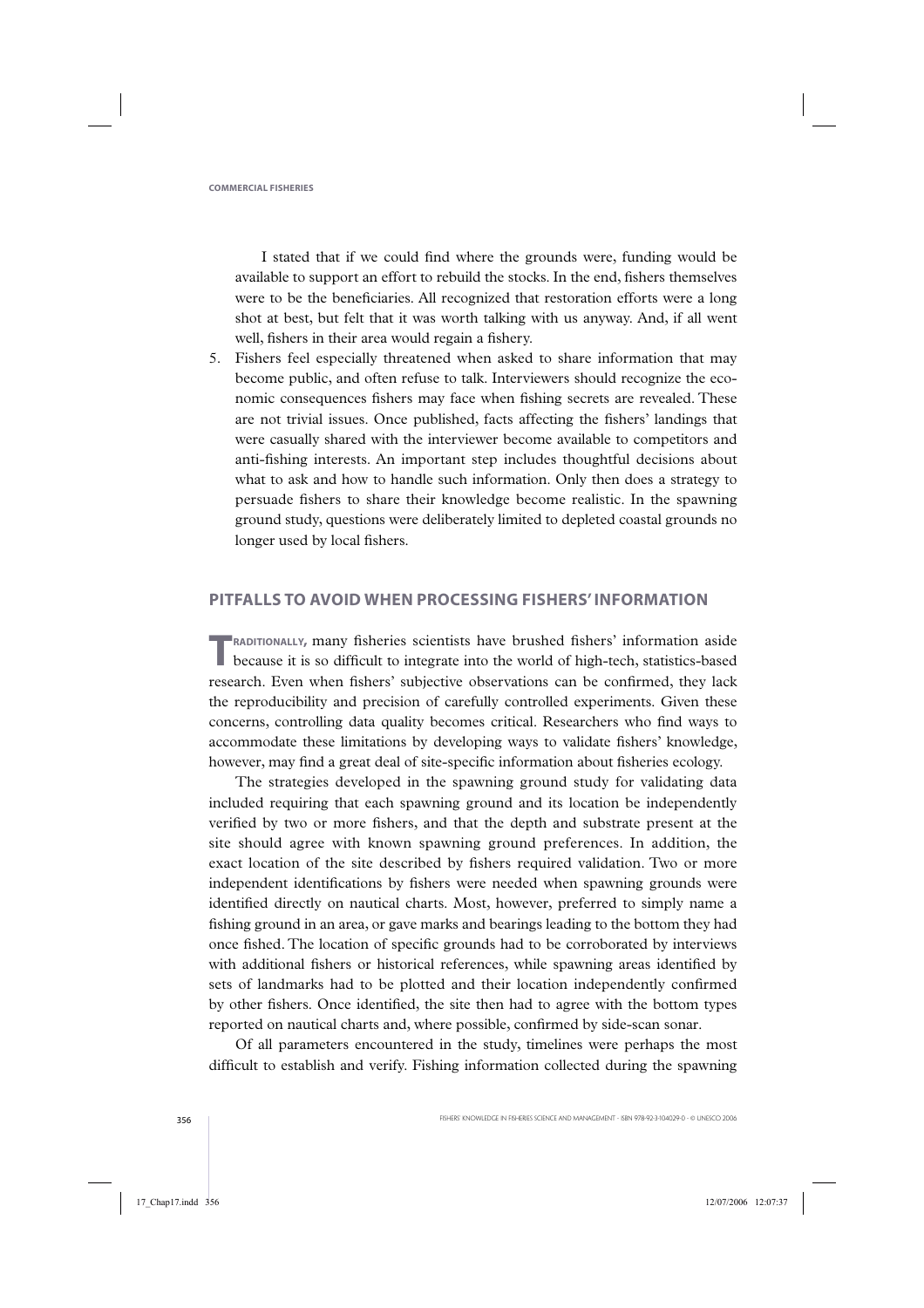I stated that if we could find where the grounds were, funding would be available to support an effort to rebuild the stocks. In the end, fishers themselves were to be the beneficiaries. All recognized that restoration efforts were a long shot at best, but felt that it was worth talking with us anyway. And, if all went well, fishers in their area would regain a fishery.

5. Fishers feel especially threatened when asked to share information that may become public, and often refuse to talk. Interviewers should recognize the economic consequences fishers may face when fishing secrets are revealed. These are not trivial issues. Once published, facts affecting the fishers' landings that were casually shared with the interviewer become available to competitors and anti-fishing interests. An important step includes thoughtful decisions about what to ask and how to handle such information. Only then does a strategy to persuade fishers to share their knowledge become realistic. In the spawning ground study, questions were deliberately limited to depleted coastal grounds no longer used by local fishers.

## **PITFALLS TO AVOID WHEN PROCESSING FISHERS' INFORMATION**

**RADITIONALLY, many fisheries scientists have brushed fishers' information aside** because it is so difficult to integrate into the world of high-tech, statistics-based research. Even when fishers' subjective observations can be confirmed, they lack the reproducibility and precision of carefully controlled experiments. Given these concerns, controlling data quality becomes critical. Researchers who find ways to accommodate these limitations by developing ways to validate fishers' knowledge, however, may find a great deal of site-specific information about fisheries ecology.

The strategies developed in the spawning ground study for validating data included requiring that each spawning ground and its location be independently verified by two or more fishers, and that the depth and substrate present at the site should agree with known spawning ground preferences. In addition, the exact location of the site described by fishers required validation. Two or more independent identifications by fishers were needed when spawning grounds were identified directly on nautical charts. Most, however, preferred to simply name a fishing ground in an area, or gave marks and bearings leading to the bottom they had once fished. The location of specific grounds had to be corroborated by interviews with additional fishers or historical references, while spawning areas identified by sets of landmarks had to be plotted and their location independently confirmed by other fishers. Once identified, the site then had to agree with the bottom types reported on nautical charts and, where possible, confirmed by side-scan sonar.

Of all parameters encountered in the study, timelines were perhaps the most difficult to establish and verify. Fishing information collected during the spawning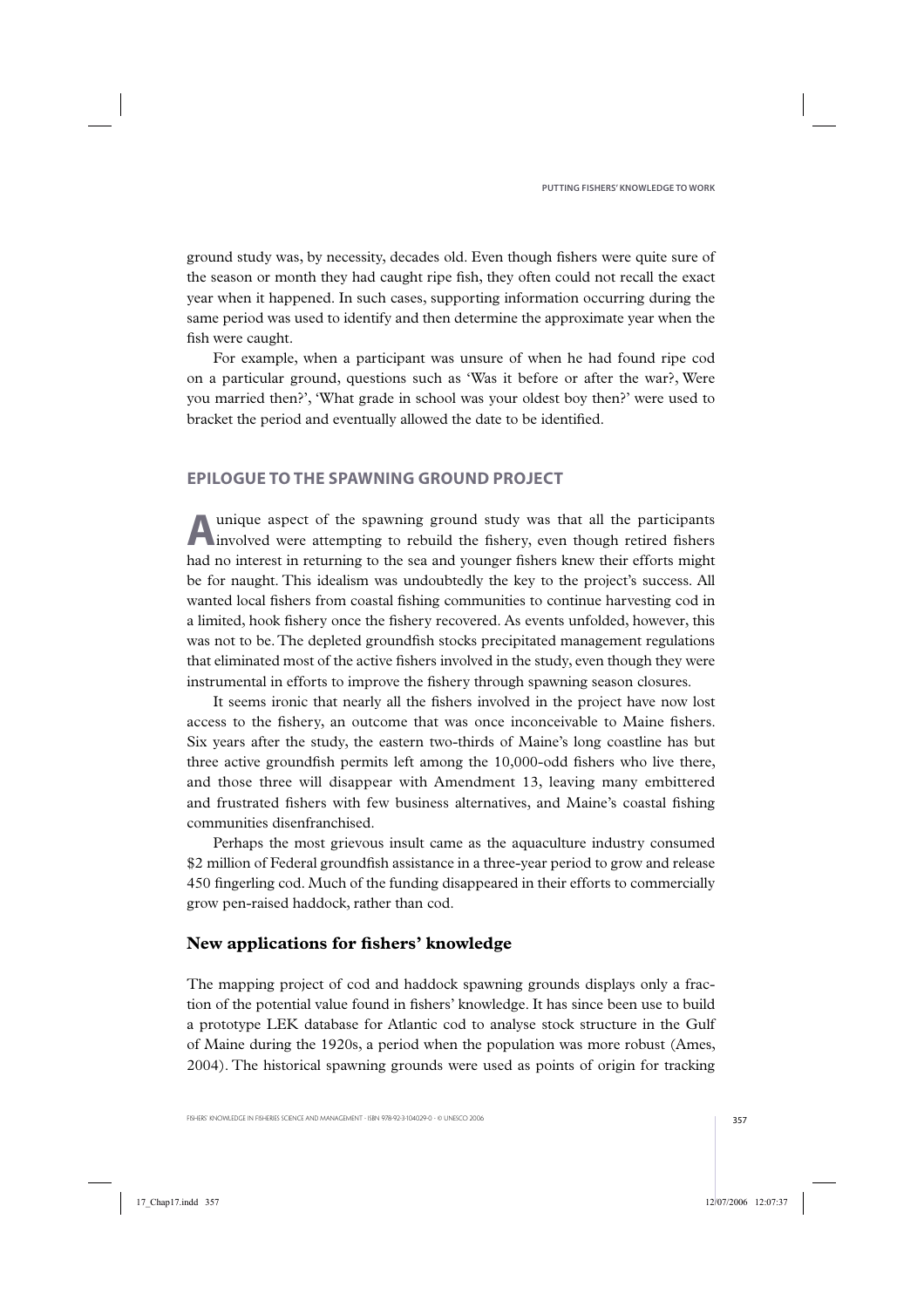ground study was, by necessity, decades old. Even though fishers were quite sure of the season or month they had caught ripe fish, they often could not recall the exact year when it happened. In such cases, supporting information occurring during the same period was used to identify and then determine the approximate year when the fish were caught.

For example, when a participant was unsure of when he had found ripe cod on a particular ground, questions such as 'Was it before or after the war?, Were you married then?', 'What grade in school was your oldest boy then?' were used to bracket the period and eventually allowed the date to be identified.

## **EPILOGUE TO THE SPAWNING GROUND PROJECT**

unique aspect of the spawning ground study was that all the participants involved were attempting to rebuild the fishery, even though retired fishers had no interest in returning to the sea and younger fishers knew their efforts might be for naught. This idealism was undoubtedly the key to the project's success. All wanted local fishers from coastal fishing communities to continue harvesting cod in a limited, hook fishery once the fishery recovered. As events unfolded, however, this was not to be. The depleted groundfish stocks precipitated management regulations that eliminated most of the active fishers involved in the study, even though they were instrumental in efforts to improve the fishery through spawning season closures.

It seems ironic that nearly all the fishers involved in the project have now lost access to the fishery, an outcome that was once inconceivable to Maine fishers. Six years after the study, the eastern two-thirds of Maine's long coastline has but three active groundfish permits left among the  $10,000$ -odd fishers who live there, and those three will disappear with Amendment 13, leaving many embittered and frustrated fishers with few business alternatives, and Maine's coastal fishing communities disenfranchised.

Perhaps the most grievous insult came as the aquaculture industry consumed \$2 million of Federal groundfish assistance in a three-year period to grow and release 450 fingerling cod. Much of the funding disappeared in their efforts to commercially grow pen-raised haddock, rather than cod.

### New applications for fishers' knowledge

The mapping project of cod and haddock spawning grounds displays only a fraction of the potential value found in fishers' knowledge. It has since been use to build a prototype LEK database for Atlantic cod to analyse stock structure in the Gulf of Maine during the 1920s, a period when the population was more robust (Ames, 2004). The historical spawning grounds were used as points of origin for tracking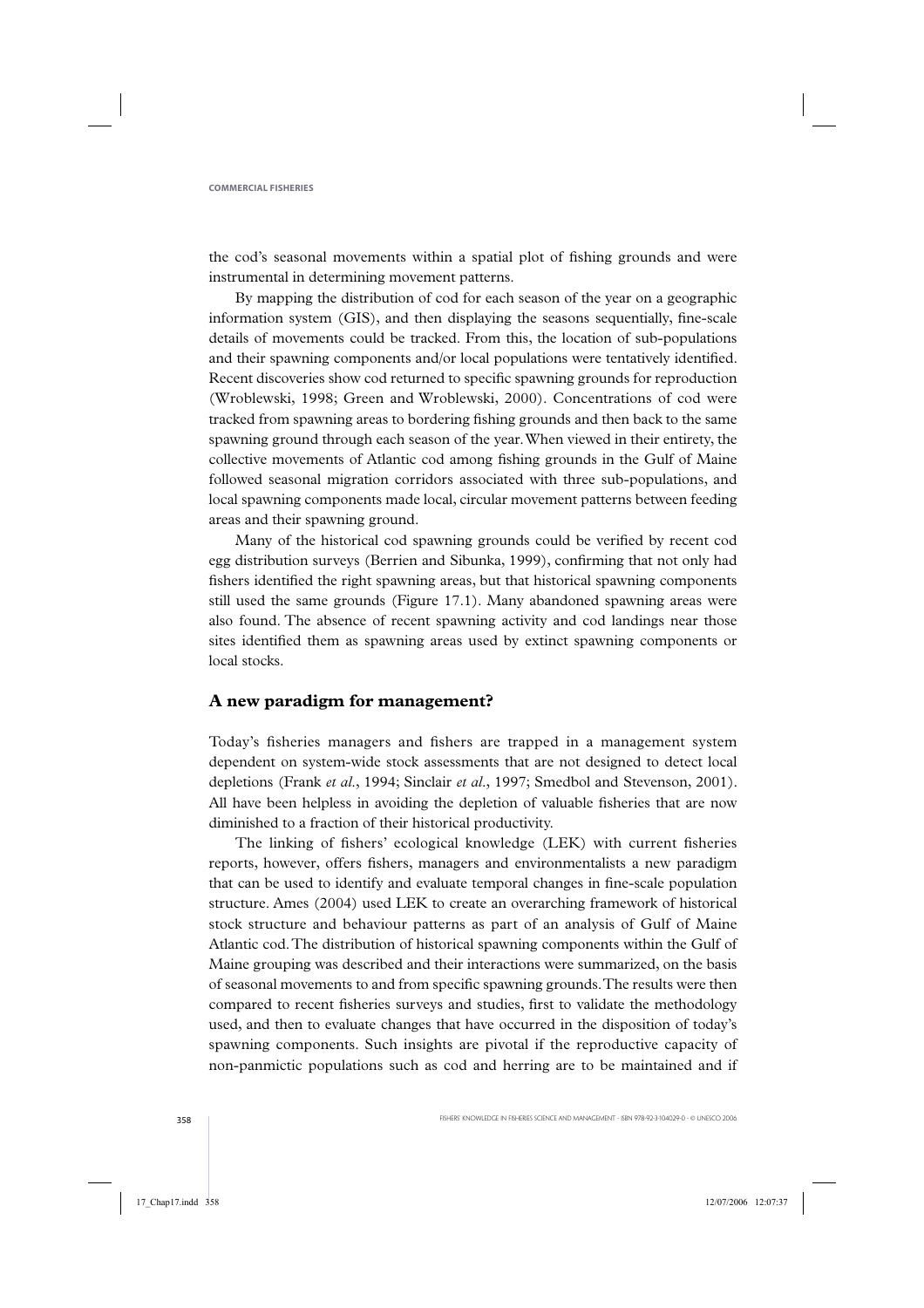the cod's seasonal movements within a spatial plot of fishing grounds and were instrumental in determining movement patterns.

By mapping the distribution of cod for each season of the year on a geographic information system  $(GIS)$ , and then displaying the seasons sequentially, fine-scale details of movements could be tracked. From this, the location of sub-populations and their spawning components and/or local populations were tentatively identified. Recent discoveries show cod returned to specific spawning grounds for reproduction (Wroblewski, 1998; Green and Wroblewski, 2000). Concentrations of cod were tracked from spawning areas to bordering fishing grounds and then back to the same spawning ground through each season of the year. When viewed in their entirety, the collective movements of Atlantic cod among fishing grounds in the Gulf of Maine followed seasonal migration corridors associated with three sub-populations, and local spawning components made local, circular movement patterns between feeding areas and their spawning ground.

Many of the historical cod spawning grounds could be verified by recent cod egg distribution surveys (Berrien and Sibunka, 1999), confirming that not only had fishers identified the right spawning areas, but that historical spawning components still used the same grounds (Figure 17.1). Many abandoned spawning areas were also found. The absence of recent spawning activity and cod landings near those sites identified them as spawning areas used by extinct spawning components or local stocks.

## **A new paradigm for management?**

Today's fisheries managers and fishers are trapped in a management system dependent on system-wide stock assessments that are not designed to detect local depletions (Frank *et al*., 1994; Sinclair *et al*., 1997; Smedbol and Stevenson, 2001). All have been helpless in avoiding the depletion of valuable fisheries that are now diminished to a fraction of their historical productivity.

The linking of fishers' ecological knowledge (LEK) with current fisheries reports, however, offers fishers, managers and environmentalists a new paradigm that can be used to identify and evaluate temporal changes in fine-scale population structure. Ames (2004) used LEK to create an overarching framework of historical stock structure and behaviour patterns as part of an analysis of Gulf of Maine Atlantic cod. The distribution of historical spawning components within the Gulf of Maine grouping was described and their interactions were summarized, on the basis of seasonal movements to and from specific spawning grounds. The results were then compared to recent fisheries surveys and studies, first to validate the methodology used, and then to evaluate changes that have occurred in the disposition of today's spawning components. Such insights are pivotal if the reproductive capacity of non-panmictic populations such as cod and herring are to be maintained and if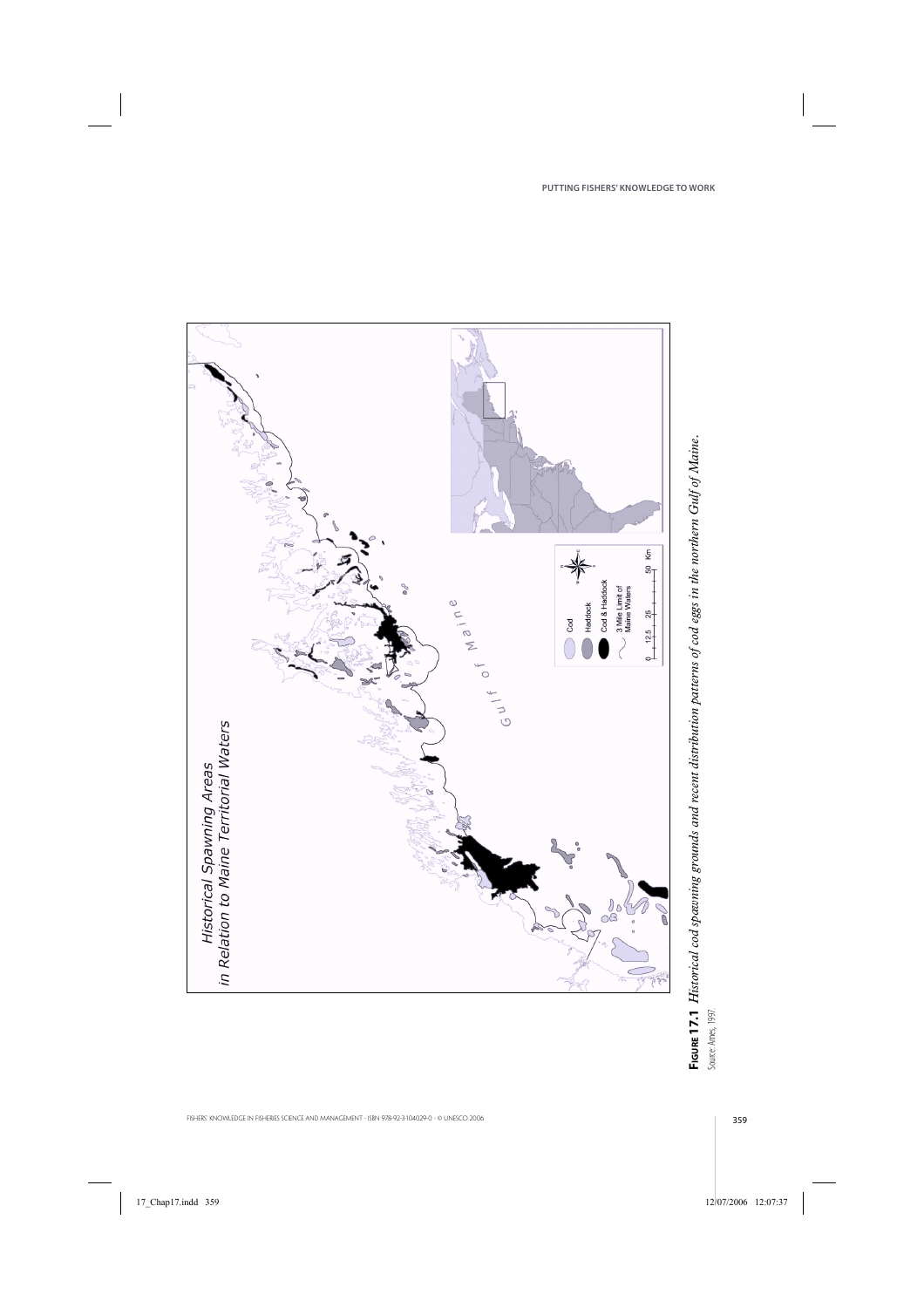FIGURE 17.1 Historical cod spawning grounds and recent distribution patterns of cod eggs in the northern Gulf of Maine.<br>Soute Ames, 1997. Km  $\overline{\mathbb{F}}$ Cod & Haddock 3 Mile Limit of<br>Maine Waters  $M_{i}$  $0$   $12.5$   $25$ Haddock  $\bigcirc$  Cod  $\sim$  $G U \uparrow G$ Historical Spawning Areas<br>in Relation to Maine Territorial Waters



Source: Ames, 1997.

**FIGURE 17.1** *Historical cod spawning grounds and recent distribution patterns of cod eggs in the northern Gulf of Maine.*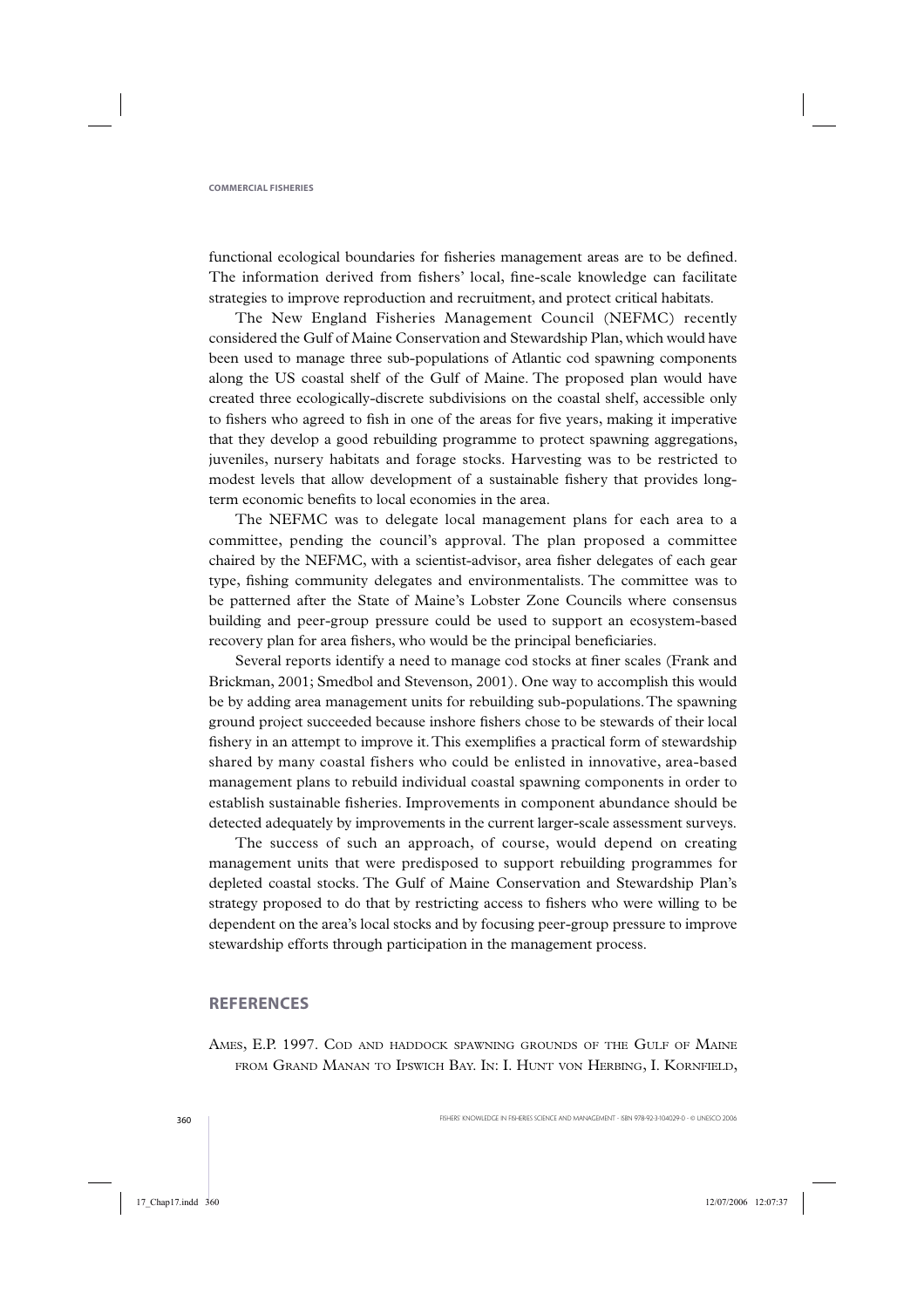functional ecological boundaries for fisheries management areas are to be defined. The information derived from fishers' local, fine-scale knowledge can facilitate strategies to improve reproduction and recruitment, and protect critical habitats.

The New England Fisheries Management Council (NEFMC) recently considered the Gulf of Maine Conservation and Stewardship Plan, which would have been used to manage three sub-populations of Atlantic cod spawning components along the US coastal shelf of the Gulf of Maine. The proposed plan would have created three ecologically-discrete subdivisions on the coastal shelf, accessible only to fishers who agreed to fish in one of the areas for five years, making it imperative that they develop a good rebuilding programme to protect spawning aggregations, juveniles, nursery habitats and forage stocks. Harvesting was to be restricted to modest levels that allow development of a sustainable fishery that provides longterm economic benefits to local economies in the area.

The NEFMC was to delegate local management plans for each area to a committee, pending the council's approval. The plan proposed a committee chaired by the NEFMC, with a scientist-advisor, area fisher delegates of each gear type, fishing community delegates and environmentalists. The committee was to be patterned after the State of Maine's Lobster Zone Councils where consensus building and peer-group pressure could be used to support an ecosystem-based recovery plan for area fishers, who would be the principal beneficiaries.

Several reports identify a need to manage cod stocks at finer scales (Frank and Brickman, 2001; Smedbol and Stevenson, 2001). One way to accomplish this would be by adding area management units for rebuilding sub-populations. The spawning ground project succeeded because inshore fishers chose to be stewards of their local fishery in an attempt to improve it. This exemplifies a practical form of stewardship shared by many coastal fishers who could be enlisted in innovative, area-based management plans to rebuild individual coastal spawning components in order to establish sustainable fisheries. Improvements in component abundance should be detected adequately by improvements in the current larger-scale assessment surveys.

The success of such an approach, of course, would depend on creating management units that were predisposed to support rebuilding programmes for depleted coastal stocks. The Gulf of Maine Conservation and Stewardship Plan's strategy proposed to do that by restricting access to fishers who were willing to be dependent on the area's local stocks and by focusing peer-group pressure to improve stewardship efforts through participation in the management process.

## **REFERENCES**

AMES, E.P. 1997. COD AND HADDOCK SPAWNING GROUNDS OF THE GULF OF MAINE FROM GRAND MANAN TO IPSWICH BAY. IN: I. HUNT VON HERBING, I. KORNFIELD,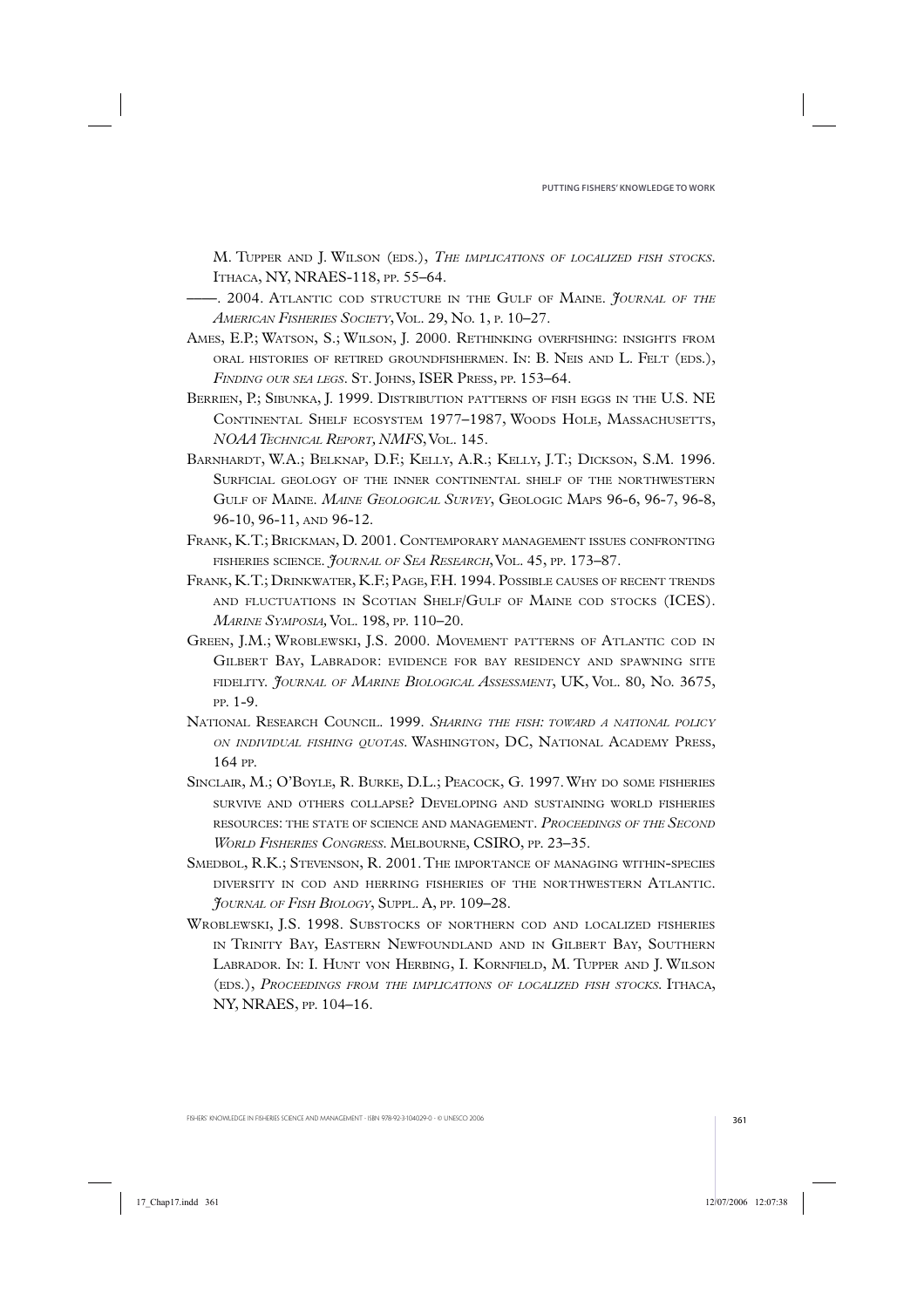M. TUPPER AND J. WILSON (EDS.), *THE IMPLICATIONS OF LOCALIZED FISH STOCKS*. ITHACA, NY, NRAES-118, PP. 55–64.

- ––––. 2004. ATLANTIC COD STRUCTURE IN THE GULF OF MAINE. *JOURNAL OF THE AMERICAN FISHERIES SOCIETY*, VOL. 29, NO. 1, P. 10–27.
- AMES, E.P.; WATSON, S.; WILSON, J. 2000. RETHINKING OVERFISHING: INSIGHTS FROM ORAL HISTORIES OF RETIRED GROUNDFISHERMEN. IN: B. NEIS AND L. FELT (EDS.), *FINDING OUR SEA LEGS*. ST. JOHNS, ISER PRESS, PP. 153–64.
- BERRIEN, P.; SIBUNKA, J. 1999. DISTRIBUTION PATTERNS OF FISH EGGS IN THE U.S. NE CONTINENTAL SHELF ECOSYSTEM 1977–1987, WOODS HOLE, MASSACHUSETTS, *NOAA TECHNICAL REPORT, NMFS*, VOL. 145.
- BARNHARDT, W.A.; BELKNAP, D.F.; KELLY, A.R.; KELLY, J.T.; DICKSON, S.M. 1996. SURFICIAL GEOLOGY OF THE INNER CONTINENTAL SHELF OF THE NORTHWESTERN GULF OF MAINE. *MAINE GEOLOGICAL SURVEY*, GEOLOGIC MAPS 96-6, 96-7, 96-8, 96-10, 96-11, AND 96-12.
- FRANK, K.T.; BRICKMAN, D. 2001. CONTEMPORARY MANAGEMENT ISSUES CONFRONTING FISHERIES SCIENCE. *JOURNAL OF SEA RESEARCH*, VOL. 45, PP. 173–87.
- FRANK, K.T.; DRINKWATER, K.F.; PAGE, F.H. 1994. POSSIBLE CAUSES OF RECENT TRENDS AND FLUCTUATIONS IN SCOTIAN SHELF/GULF OF MAINE COD STOCKS (ICES). *MARINE SYMPOSIA,* VOL. 198, PP. 110–20.
- GREEN, J.M.; WROBLEWSKI, J.S. 2000. MOVEMENT PATTERNS OF ATLANTIC COD IN GILBERT BAY, LABRADOR: EVIDENCE FOR BAY RESIDENCY AND SPAWNING SITE FIDELITY. *JOURNAL OF MARINE BIOLOGICAL ASSESSMENT*, UK, VOL. 80, NO. 3675, PP. 1-9.
- NATIONAL RESEARCH COUNCIL. 1999. *SHARING THE FISH: TOWARD <sup>A</sup> NATIONAL POLICY ON INDIVIDUAL FISHING QUOTAS*. WASHINGTON, DC, NATIONAL ACADEMY PRESS, 164 PP.
- SINCLAIR, M.; O'BOYLE, R. BURKE, D.L.; PEACOCK, G. 1997. WHY DO SOME FISHERIES SURVIVE AND OTHERS COLLAPSE? DEVELOPING AND SUSTAINING WORLD FISHERIES RESOURCES: THE STATE OF SCIENCE AND MANAGEMENT. *PROCEEDINGS OF THE SECOND WORLD FISHERIES CONGRESS*. MELBOURNE, CSIRO, PP. 23–35.
- SMEDBOL, R.K.; STEVENSON, R. 2001. THE IMPORTANCE OF MANAGING WITHIN-SPECIES DIVERSITY IN COD AND HERRING FISHERIES OF THE NORTHWESTERN ATLANTIC. *JOURNAL OF FISH BIOLOGY*, SUPPL. A, PP. 109–28.
- WROBLEWSKI, J.S. 1998. SUBSTOCKS OF NORTHERN COD AND LOCALIZED FISHERIES IN TRINITY BAY, EASTERN NEWFOUNDLAND AND IN GILBERT BAY, SOUTHERN LABRADOR. IN: I. HUNT VON HERBING, I. KORNFIELD, M. TUPPER AND J. WILSON (EDS.), *PROCEEDINGS FROM THE IMPLICATIONS OF LOCALIZED FISH STOCKS.* ITHACA, NY, NRAES, PP. 104–16.